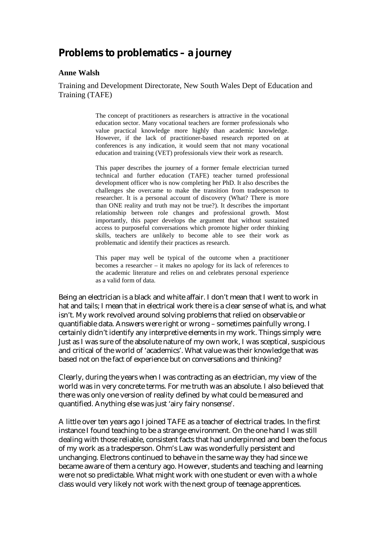## **Problems to problematics – a journey**

## **Anne Walsh**

Training and Development Directorate, New South Wales Dept of Education and Training (TAFE)

> The concept of practitioners as researchers is attractive in the vocational education sector. Many vocational teachers are former professionals who value practical knowledge more highly than academic knowledge. However, if the lack of practitioner-based research reported on at conferences is any indication, it would seem that not many vocational education and training (VET) professionals view their work as research.

> This paper describes the journey of a former female electrician turned technical and further education (TAFE) teacher turned professional development officer who is now completing her PhD. It also describes the challenges she overcame to make the transition from tradesperson to researcher. It is a personal account of discovery (What? There is more than ONE reality and truth may not be true?). It describes the important relationship between role changes and professional growth. Most importantly, this paper develops the argument that without sustained access to purposeful conversations which promote higher order thinking skills, teachers are unlikely to become able to see their work as problematic and identify their practices as research.

> This paper may well be typical of the outcome when a practitioner becomes a researcher – it makes no apology for its lack of references to the academic literature and relies on and celebrates personal experience as a valid form of data.

Being an electrician is a black and white affair. I don't mean that I went to work in hat and tails; I mean that in electrical work there is a clear sense of what is, and what isn't. My work revolved around solving problems that relied on observable or quantifiable data. Answers were right or wrong – sometimes painfully wrong. I certainly didn't identify any interpretive elements in my work. Things simply *were*. Just as I was sure of the absolute nature of my own work, I was sceptical, suspicious and critical of the world of 'academics'. What value was their knowledge that was based not on the fact of experience but on conversations and thinking?

Clearly, during the years when I was contracting as an electrician, my view of the world was in very concrete terms. For me truth was an absolute. I also believed that there was only one version of reality defined by what could be measured and quantified. Anything else was just 'airy fairy nonsense'.

A little over ten years ago I joined TAFE as a teacher of electrical trades. In the first instance I found teaching to be a strange environment. On the one hand I was still dealing with those reliable, consistent facts that had underpinned and been the focus of my work as a tradesperson. Ohm's Law was wonderfully persistent and unchanging. Electrons continued to behave in the same way they had since we became aware of them a century ago. However, students and teaching and learning were not so predictable. What might work with one student or even with a whole class would very likely not work with the next group of teenage apprentices.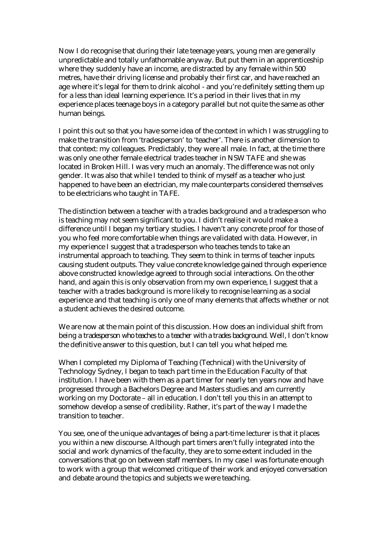Now I do recognise that during their late teenage years, young men are generally unpredictable and totally unfathomable anyway. But put them in an apprenticeship where they suddenly have an income, are distracted by any female within 500 metres, have their driving license and probably their first car, and have reached an age where it's legal for them to drink alcohol - and you're definitely setting them up for a less than ideal learning experience. It's a period in their lives that in my experience places teenage boys in a category parallel but not quite the same as other human beings.

I point this out so that you have some idea of the context in which I was struggling to make the transition from 'tradesperson' to 'teacher'. There is another dimension to that context: my colleagues. Predictably, they were all male. In fact, at the time there was only one other female electrical trades teacher in NSW TAFE and she was located in Broken Hill. I was very much an anomaly. The difference was not only gender. It was also that while I tended to think of myself as a teacher who just happened to have been an electrician, my male counterparts considered themselves to be electricians who taught in TAFE.

The distinction between a teacher with a trades background and a tradesperson who is teaching may not seem significant to you. I didn't realise it would make a difference until I began my tertiary studies. I haven't any concrete proof for those of you who feel more comfortable when things are validated with data. However, in my experience I suggest that a tradesperson who teaches tends to take an instrumental approach to teaching. They seem to think in terms of teacher inputs causing student outputs. They value concrete knowledge gained through experience above constructed knowledge agreed to through social interactions. On the other hand, and again this is only observation from my own experience, I suggest that a teacher with a trades background is more likely to recognise learning as a social experience and that teaching is only one of many elements that affects whether or not a student achieves the desired outcome.

We are now at the main point of this discussion. How does an individual shift from being a *tradesperson who teaches* to a *teacher with a trades background*. Well, I don't know the definitive answer to this question, but I can tell you what helped me.

When I completed my Diploma of Teaching (Technical) with the University of Technology Sydney, I began to teach part time in the Education Faculty of that institution. I have been with them as a part timer for nearly ten years now and have progressed through a Bachelors Degree and Masters studies and am currently working on my Doctorate – all in education. I don't tell you this in an attempt to somehow develop a sense of credibility. Rather, it's part of the way I made the transition to teacher.

You see, one of the unique advantages of being a part-time lecturer is that it places you within a new discourse. Although part timers aren't fully integrated into the social and work dynamics of the faculty, they are to some extent included in the conversations that go on between staff members. In my case I was fortunate enough to work with a group that welcomed critique of their work and enjoyed conversation and debate around the topics and subjects we were teaching.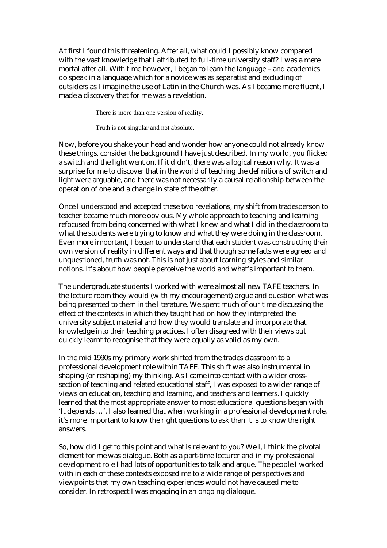At first I found this threatening. After all, what could I possibly know compared with the vast knowledge that I attributed to full-time university staff? I was a mere mortal after all. With time however, I began to learn the language – and academics do speak in a language which for a novice was as separatist and excluding of outsiders as I imagine the use of Latin in the Church was. As I became more fluent, I made a discovery that for me was a revelation.

There is more than one version of reality.

Truth is not singular and not absolute.

Now, before you shake your head and wonder how anyone could not already know these things, consider the background I have just described. In my world, you flicked a switch and the light went on. If it didn't, there was a logical reason why. It was a surprise for me to discover that in the world of teaching the definitions of switch and light were arguable, and there was not necessarily a causal relationship between the operation of one and a change in state of the other.

Once I understood and accepted these two revelations, my shift from tradesperson to teacher became much more obvious. My whole approach to teaching and learning refocused from being concerned with what *I* knew and what *I* did in the classroom to what the students were trying to know and what they were doing in the classroom. Even more important, I began to understand that each student was constructing their own version of reality in different ways and that though some facts were agreed and unquestioned, truth was not. This is not just about learning styles and similar notions. It's about how people perceive the world and what's important to them.

The undergraduate students I worked with were almost all new TAFE teachers. In the lecture room they would (with my encouragement) argue and question what was being presented to them in the literature. We spent much of our time discussing the effect of the contexts in which they taught had on how they interpreted the university subject material and how they would translate and incorporate that knowledge into their teaching practices. I often disagreed with their views but quickly learnt to recognise that they were equally as valid as my own.

In the mid 1990s my primary work shifted from the trades classroom to a professional development role within TAFE. This shift was also instrumental in shaping (or reshaping) my thinking. As I came into contact with a wider crosssection of teaching and related educational staff, I was exposed to a wider range of views on education, teaching and learning, and teachers and learners. I quickly learned that the most appropriate answer to most educational questions began with 'It depends …'. I also learned that when working in a professional development role, it's more important to know the right questions to ask than it is to know the right answers.

So, how did I get to this point and what is relevant to you? Well, I think the pivotal element for me was dialogue. Both as a part-time lecturer and in my professional development role I had lots of opportunities to talk and argue. The people I worked with in each of these contexts exposed me to a wide range of perspectives and viewpoints that my own teaching experiences would not have caused me to consider. In retrospect I was engaging in an ongoing dialogue.